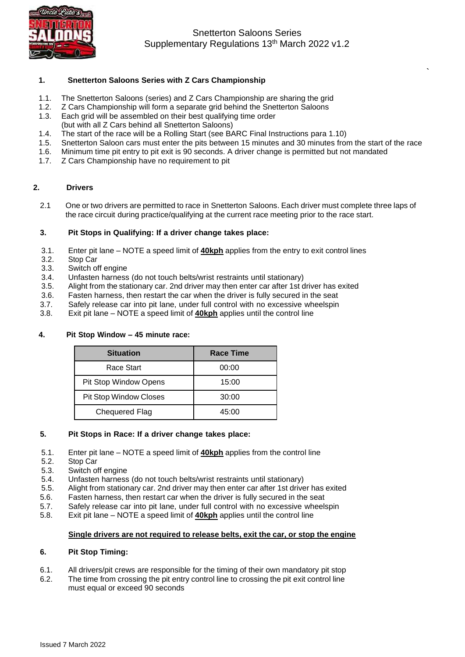

Snetterton Saloons Series Supplementary Regulations 13<sup>th</sup> March 2022 v1.2

**`**

### **1. Snetterton Saloons Series with Z Cars Championship**

- 1.1. The Snetterton Saloons (series) and Z Cars Championship are sharing the grid
- 1.2. Z Cars Championship will form a separate grid behind the Snetterton Saloons
- 1.3. Each grid will be assembled on their best qualifying time order
- (but with all Z Cars behind all Snetterton Saloons)
- 1.4. The start of the race will be a Rolling Start (see BARC Final Instructions para 1.10)
- Snetterton Saloon cars must enter the pits between 15 minutes and 30 minutes from the start of the race
- 1.6. Minimum time pit entry to pit exit is 90 seconds. A driver change is permitted but not mandated 1.7. Z Cars Championship have no requirement to pit
- Z Cars Championship have no requirement to pit

### **2. Drivers**

2.1 One or two drivers are permitted to race in Snetterton Saloons. Each driver must complete three laps of the race circuit during practice/qualifying at the current race meeting prior to the race start.

#### **3. Pit Stops in Qualifying: If a driver change takes place:**

- 3.1. Enter pit lane NOTE a speed limit of **40kph** applies from the entry to exit control lines
- 3.2. Stop Car<br>3.3. Switch of
- Switch off engine
- 3.4. Unfasten harness (do not touch belts/wrist restraints until stationary)
- 3.5. Alight from the stationary car. 2nd driver may then enter car after 1st driver has exited
- 3.6. Fasten harness, then restart the car when the driver is fully secured in the seat
- 3.7. Safely release car into pit lane, under full control with no excessive wheelspin  $3.8$ . Exit pit lane NOTE a speed limit of **40kph** applies until the control line
- Exit pit lane NOTE a speed limit of **40kph** applies until the control line

### **4. Pit Stop Window – 45 minute race:**

| <b>Situation</b>              | <b>Race Time</b> |  |
|-------------------------------|------------------|--|
| Race Start                    | 00:00            |  |
| Pit Stop Window Opens         | 15:00            |  |
| <b>Pit Stop Window Closes</b> | 30:00            |  |
| <b>Chequered Flag</b>         | 45:00            |  |

#### **5. Pit Stops in Race: If a driver change takes place:**

- 5.1. Enter pit lane NOTE a speed limit of **40kph** applies from the control line
- 5.2. Stop Car
- 5.3. Switch off engine
- 5.4. Unfasten harness (do not touch belts/wrist restraints until stationary)
- 5.5. Alight from stationary car. 2nd driver may then enter car after 1st driver has exited
- 5.6. Fasten harness, then restart car when the driver is fully secured in the seat
- 5.7. Safely release car into pit lane, under full control with no excessive wheelspin
- 5.8. Exit pit lane NOTE a speed limit of **40kph** applies until the control line

## **Single drivers are not required to release belts, exit the car, or stop the engine**

### **6. Pit Stop Timing:**

- 6.1. All drivers/pit crews are responsible for the timing of their own mandatory pit stop
- 6.2. The time from crossing the pit entry control line to crossing the pit exit control line must equal or exceed 90 seconds